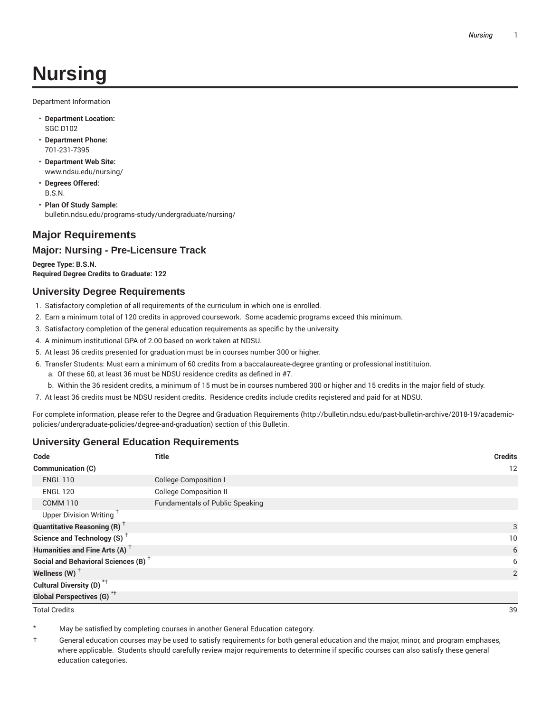# **Nursing**

Department Information

- **Department Location:** SGC D102
- **Department Phone:** 701-231-7395
- **Department Web Site:** www.ndsu.edu/nursing/
- **Degrees Offered:** B.S.N.
- **Plan Of Study Sample:** bulletin.ndsu.edu/programs-study/undergraduate/nursing/

## **Major Requirements**

#### **Major: Nursing - Pre-Licensure Track**

**Degree Type: B.S.N. Required Degree Credits to Graduate: 122**

#### **University Degree Requirements**

- 1. Satisfactory completion of all requirements of the curriculum in which one is enrolled.
- 2. Earn a minimum total of 120 credits in approved coursework. Some academic programs exceed this minimum.
- 3. Satisfactory completion of the general education requirements as specific by the university.
- 4. A minimum institutional GPA of 2.00 based on work taken at NDSU.
- 5. At least 36 credits presented for graduation must be in courses number 300 or higher.
- 6. Transfer Students: Must earn a minimum of 60 credits from a baccalaureate-degree granting or professional institituion.
	- a. Of these 60, at least 36 must be NDSU residence credits as defined in #7.
	- b. Within the 36 resident credits, a minimum of 15 must be in courses numbered 300 or higher and 15 credits in the major field of study.

7. At least 36 credits must be NDSU resident credits. Residence credits include credits registered and paid for at NDSU.

For complete information, please refer to the Degree and Graduation Requirements (http://bulletin.ndsu.edu/past-bulletin-archive/2018-19/academicpolicies/undergraduate-policies/degree-and-graduation) section of this Bulletin.

#### **University General Education Requirements**

| Code                                            | <b>Title</b>                           | <b>Credits</b> |
|-------------------------------------------------|----------------------------------------|----------------|
| <b>Communication (C)</b>                        |                                        | 12             |
| <b>ENGL 110</b>                                 | <b>College Composition I</b>           |                |
| <b>ENGL 120</b>                                 | <b>College Composition II</b>          |                |
| <b>COMM 110</b>                                 | <b>Fundamentals of Public Speaking</b> |                |
| Upper Division Writing <sup>†</sup>             |                                        |                |
| <b>Quantitative Reasoning (R)</b> <sup>†</sup>  |                                        | 3              |
| Science and Technology (S) <sup>+</sup>         |                                        | 10             |
| Humanities and Fine Arts (A) <sup>+</sup>       |                                        | 6              |
| Social and Behavioral Sciences (B) <sup>+</sup> |                                        | 6              |
| Wellness $(W)$ <sup>+</sup>                     |                                        | 2              |
| Cultural Diversity (D) <sup>*†</sup>            |                                        |                |
| Global Perspectives (G) <sup>*†</sup>           |                                        |                |

Total Credits 39

May be satisfied by completing courses in another General Education category.

† General education courses may be used to satisfy requirements for both general education and the major, minor, and program emphases, where applicable. Students should carefully review major requirements to determine if specific courses can also satisfy these general education categories.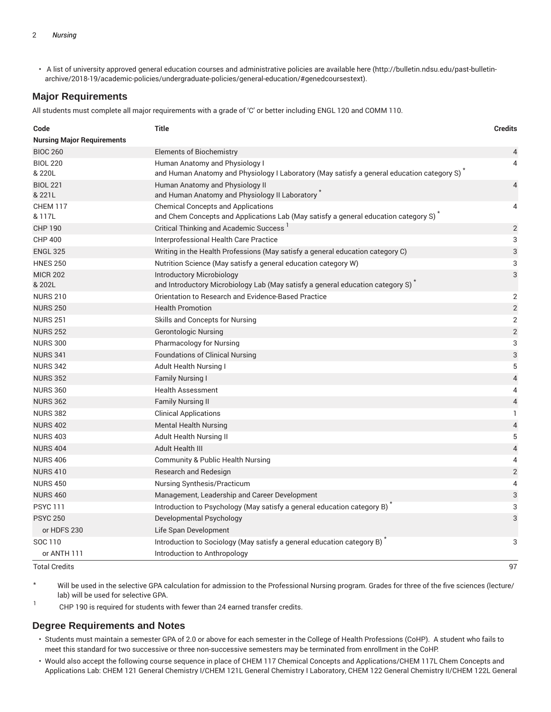• A list of university approved general education courses and administrative policies are available here (http://bulletin.ndsu.edu/past-bulletinarchive/2018-19/academic-policies/undergraduate-policies/general-education/#genedcoursestext).

#### **Major Requirements**

All students must complete all major requirements with a grade of 'C' or better including ENGL 120 and COMM 110.

| Code                              | <b>Title</b>                                                                                                                                  | <b>Credits</b> |
|-----------------------------------|-----------------------------------------------------------------------------------------------------------------------------------------------|----------------|
| <b>Nursing Major Requirements</b> |                                                                                                                                               |                |
| <b>BIOC 260</b>                   | <b>Elements of Biochemistry</b>                                                                                                               | 4              |
| <b>BIOL 220</b>                   | Human Anatomy and Physiology I                                                                                                                | 4              |
| & 220L                            | and Human Anatomy and Physiology I Laboratory (May satisfy a general education category S) <sup>*</sup>                                       |                |
| <b>BIOL 221</b>                   | Human Anatomy and Physiology II                                                                                                               | $\overline{4}$ |
| & 221L                            | and Human Anatomy and Physiology II Laboratory                                                                                                |                |
| <b>CHEM 117</b><br>& 117L         | <b>Chemical Concepts and Applications</b><br>and Chem Concepts and Applications Lab (May satisfy a general education category S) <sup>*</sup> | 4              |
| <b>CHP 190</b>                    | Critical Thinking and Academic Success <sup>1</sup>                                                                                           | $\overline{2}$ |
| <b>CHP 400</b>                    | Interprofessional Health Care Practice                                                                                                        | 3              |
| <b>ENGL 325</b>                   | Writing in the Health Professions (May satisfy a general education category C)                                                                | 3              |
| <b>HNES 250</b>                   | Nutrition Science (May satisfy a general education category W)                                                                                | 3              |
| <b>MICR 202</b>                   | <b>Introductory Microbiology</b>                                                                                                              | 3              |
| & 202L                            | and Introductory Microbiology Lab (May satisfy a general education category S)                                                                |                |
| <b>NURS 210</b>                   | Orientation to Research and Evidence-Based Practice                                                                                           | 2              |
| <b>NURS 250</b>                   | <b>Health Promotion</b>                                                                                                                       | $\overline{2}$ |
| <b>NURS 251</b>                   | Skills and Concepts for Nursing                                                                                                               | $\overline{2}$ |
| <b>NURS 252</b>                   | <b>Gerontologic Nursing</b>                                                                                                                   | $\overline{2}$ |
| <b>NURS 300</b>                   | Pharmacology for Nursing                                                                                                                      | 3              |
| <b>NURS 341</b>                   | <b>Foundations of Clinical Nursing</b>                                                                                                        | 3              |
| <b>NURS 342</b>                   | Adult Health Nursing I                                                                                                                        | 5              |
| <b>NURS 352</b>                   | <b>Family Nursing I</b>                                                                                                                       | $\overline{4}$ |
| <b>NURS 360</b>                   | <b>Health Assessment</b>                                                                                                                      | 4              |
| <b>NURS 362</b>                   | <b>Family Nursing II</b>                                                                                                                      | $\overline{4}$ |
| <b>NURS 382</b>                   | <b>Clinical Applications</b>                                                                                                                  | 1              |
| <b>NURS 402</b>                   | <b>Mental Health Nursing</b>                                                                                                                  | $\overline{4}$ |
| <b>NURS 403</b>                   | Adult Health Nursing II                                                                                                                       | 5              |
| <b>NURS 404</b>                   | Adult Health III                                                                                                                              | $\overline{4}$ |
| <b>NURS 406</b>                   | <b>Community &amp; Public Health Nursing</b>                                                                                                  | 4              |
| <b>NURS 410</b>                   | Research and Redesign                                                                                                                         | $\overline{2}$ |
| <b>NURS 450</b>                   | Nursing Synthesis/Practicum                                                                                                                   | 4              |
| <b>NURS 460</b>                   | Management, Leadership and Career Development                                                                                                 | 3              |
| <b>PSYC111</b>                    | Introduction to Psychology (May satisfy a general education category B)                                                                       | 3              |
| <b>PSYC 250</b>                   | Developmental Psychology                                                                                                                      | 3              |
| or HDFS 230                       | Life Span Development                                                                                                                         |                |
| SOC 110                           | Introduction to Sociology (May satisfy a general education category B)                                                                        | 3              |
| or ANTH 111                       | Introduction to Anthropology                                                                                                                  |                |

Total Credits 97

Will be used in the selective GPA calculation for admission to the Professional Nursing program. Grades for three of the five sciences (lecture/ lab) will be used for selective GPA.

1 CHP 190 is required for students with fewer than 24 earned transfer credits.

#### **Degree Requirements and Notes**

- Students must maintain a semester GPA of 2.0 or above for each semester in the College of Health Professions (CoHP). A student who fails to meet this standard for two successive or three non-successive semesters may be terminated from enrollment in the CoHP.
- Would also accept the following course sequence in place of CHEM 117 Chemical Concepts and Applications/CHEM 117L Chem Concepts and Applications Lab: CHEM 121 General Chemistry I/CHEM 121L General Chemistry I Laboratory, CHEM 122 General Chemistry II/CHEM 122L General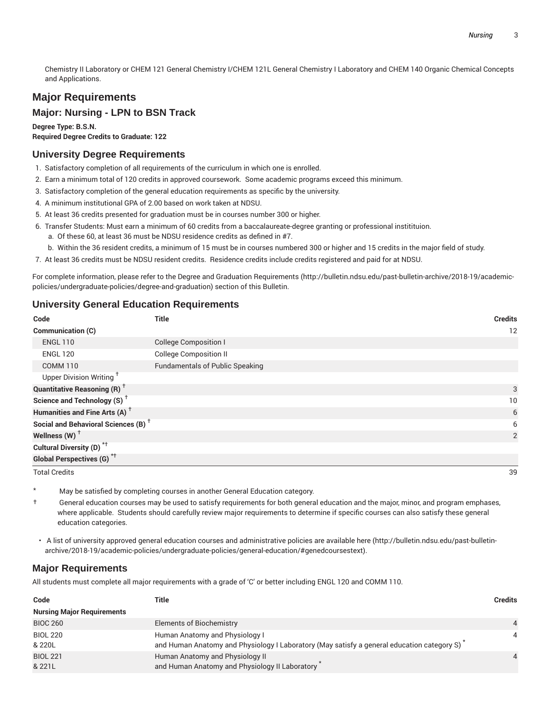Chemistry II Laboratory or CHEM 121 General Chemistry I/CHEM 121L General Chemistry I Laboratory and CHEM 140 Organic Chemical Concepts and Applications.

# **Major Requirements**

#### **Major: Nursing - LPN to BSN Track**

**Degree Type: B.S.N. Required Degree Credits to Graduate: 122**

# **University Degree Requirements**

- 1. Satisfactory completion of all requirements of the curriculum in which one is enrolled.
- 2. Earn a minimum total of 120 credits in approved coursework. Some academic programs exceed this minimum.
- 3. Satisfactory completion of the general education requirements as specific by the university.
- 4. A minimum institutional GPA of 2.00 based on work taken at NDSU.
- 5. At least 36 credits presented for graduation must be in courses number 300 or higher.
- 6. Transfer Students: Must earn a minimum of 60 credits from a baccalaureate-degree granting or professional institituion.
	- a. Of these 60, at least 36 must be NDSU residence credits as defined in #7.
	- b. Within the 36 resident credits, a minimum of 15 must be in courses numbered 300 or higher and 15 credits in the major field of study.
- 7. At least 36 credits must be NDSU resident credits. Residence credits include credits registered and paid for at NDSU.

For complete information, please refer to the Degree and Graduation Requirements (http://bulletin.ndsu.edu/past-bulletin-archive/2018-19/academicpolicies/undergraduate-policies/degree-and-graduation) section of this Bulletin.

#### **University General Education Requirements**

| Code                                            | <b>Title</b>                           | <b>Credits</b> |
|-------------------------------------------------|----------------------------------------|----------------|
| Communication (C)                               |                                        | 12             |
| <b>ENGL 110</b>                                 | <b>College Composition I</b>           |                |
| <b>ENGL 120</b>                                 | <b>College Composition II</b>          |                |
| <b>COMM 110</b>                                 | <b>Fundamentals of Public Speaking</b> |                |
| Upper Division Writing <sup>+</sup>             |                                        |                |
| <b>Quantitative Reasoning (R)</b> <sup>†</sup>  |                                        | 3              |
| Science and Technology (S) <sup>+</sup>         |                                        | 10             |
| Humanities and Fine Arts (A) <sup>+</sup>       |                                        | 6              |
| Social and Behavioral Sciences (B) <sup>+</sup> |                                        | 6              |
| Wellness $(W)$ <sup>+</sup>                     |                                        | 2              |
| Cultural Diversity (D) <sup>*†</sup>            |                                        |                |
| <b>Global Perspectives (G)</b> <sup>*†</sup>    |                                        |                |
| <b>Total Credits</b>                            |                                        | 39             |

- May be satisfied by completing courses in another General Education category.
- † General education courses may be used to satisfy requirements for both general education and the major, minor, and program emphases, where applicable. Students should carefully review major requirements to determine if specific courses can also satisfy these general education categories.
- A list of university approved general education courses and administrative policies are available here (http://bulletin.ndsu.edu/past-bulletinarchive/2018-19/academic-policies/undergraduate-policies/general-education/#genedcoursestext).

#### **Major Requirements**

All students must complete all major requirements with a grade of 'C' or better including ENGL 120 and COMM 110.

| Code                              | Title                                                                                                                        | Credits  |
|-----------------------------------|------------------------------------------------------------------------------------------------------------------------------|----------|
| <b>Nursing Major Requirements</b> |                                                                                                                              |          |
| <b>BIOC 260</b>                   | Elements of Biochemistry                                                                                                     |          |
| <b>BIOL 220</b><br>& 220L         | Human Anatomy and Physiology I<br>and Human Anatomy and Physiology I Laboratory (May satisfy a general education category S) | 4        |
| <b>BIOL 221</b><br>& 221L         | Human Anatomy and Physiology II<br>and Human Anatomy and Physiology II Laboratory                                            | $\Delta$ |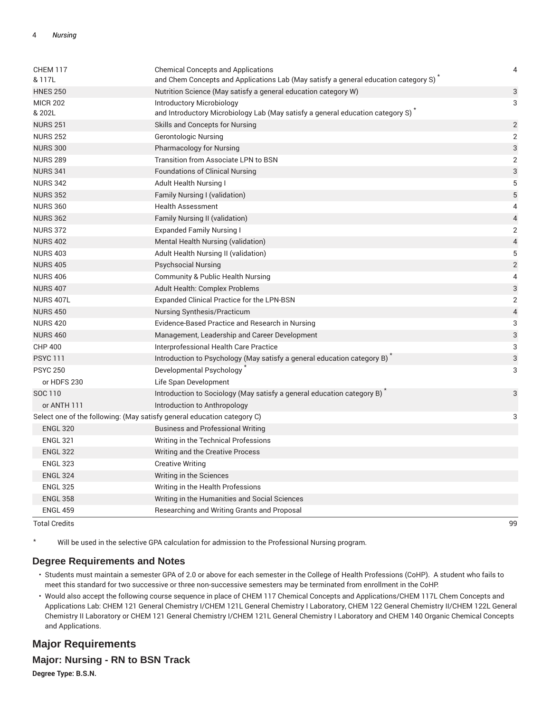| <b>CHEM 117</b><br>& 117L                                               | <b>Chemical Concepts and Applications</b><br>and Chem Concepts and Applications Lab (May satisfy a general education category S) <sup>*</sup> | 4                        |
|-------------------------------------------------------------------------|-----------------------------------------------------------------------------------------------------------------------------------------------|--------------------------|
| <b>HNES 250</b>                                                         | Nutrition Science (May satisfy a general education category W)                                                                                | 3                        |
| <b>MICR 202</b><br>& 202L                                               | <b>Introductory Microbiology</b><br>and Introductory Microbiology Lab (May satisfy a general education category S) <sup>*</sup>               | 3                        |
| <b>NURS 251</b>                                                         | Skills and Concepts for Nursing                                                                                                               | $\overline{c}$           |
| <b>NURS 252</b>                                                         | <b>Gerontologic Nursing</b>                                                                                                                   | $\overline{2}$           |
| <b>NURS 300</b>                                                         | <b>Pharmacology for Nursing</b>                                                                                                               | 3                        |
| <b>NURS 289</b>                                                         | <b>Transition from Associate LPN to BSN</b>                                                                                                   | 2                        |
| <b>NURS 341</b>                                                         | <b>Foundations of Clinical Nursing</b>                                                                                                        | 3                        |
| <b>NURS 342</b>                                                         | Adult Health Nursing I                                                                                                                        | 5                        |
| <b>NURS 352</b>                                                         | Family Nursing I (validation)                                                                                                                 | 5                        |
| <b>NURS 360</b>                                                         | <b>Health Assessment</b>                                                                                                                      | 4                        |
| <b>NURS 362</b>                                                         | Family Nursing II (validation)                                                                                                                | $\overline{4}$           |
| <b>NURS 372</b>                                                         | <b>Expanded Family Nursing I</b>                                                                                                              | 2                        |
| <b>NURS 402</b>                                                         | Mental Health Nursing (validation)                                                                                                            | $\overline{\mathcal{L}}$ |
| <b>NURS 403</b>                                                         | Adult Health Nursing II (validation)                                                                                                          | 5                        |
| <b>NURS 405</b>                                                         | <b>Psychsocial Nursing</b>                                                                                                                    | $\overline{2}$           |
| <b>NURS 406</b>                                                         | <b>Community &amp; Public Health Nursing</b>                                                                                                  | 4                        |
| <b>NURS 407</b>                                                         | <b>Adult Health: Complex Problems</b>                                                                                                         | 3                        |
| <b>NURS 407L</b>                                                        | Expanded Clinical Practice for the LPN-BSN                                                                                                    | $\overline{c}$           |
| <b>NURS 450</b>                                                         | Nursing Synthesis/Practicum                                                                                                                   | $\overline{4}$           |
| <b>NURS 420</b>                                                         | Evidence-Based Practice and Research in Nursing                                                                                               | 3                        |
| <b>NURS 460</b>                                                         | Management, Leadership and Career Development                                                                                                 | 3                        |
| <b>CHP 400</b>                                                          | Interprofessional Health Care Practice                                                                                                        | 3                        |
| <b>PSYC 111</b>                                                         | Introduction to Psychology (May satisfy a general education category B) <sup>*</sup>                                                          | 3                        |
| <b>PSYC 250</b>                                                         | Developmental Psychology                                                                                                                      | 3                        |
| or HDFS 230                                                             | Life Span Development                                                                                                                         |                          |
| SOC 110                                                                 | Introduction to Sociology (May satisfy a general education category B)                                                                        | 3                        |
| or ANTH 111                                                             | Introduction to Anthropology                                                                                                                  |                          |
| Select one of the following: (May satisfy general education category C) |                                                                                                                                               | 3                        |
| <b>ENGL 320</b>                                                         | <b>Business and Professional Writing</b>                                                                                                      |                          |
| <b>ENGL 321</b>                                                         | Writing in the Technical Professions                                                                                                          |                          |
| <b>ENGL 322</b>                                                         | Writing and the Creative Process                                                                                                              |                          |
| <b>ENGL 323</b>                                                         | <b>Creative Writing</b>                                                                                                                       |                          |
| <b>ENGL 324</b>                                                         | Writing in the Sciences                                                                                                                       |                          |
| <b>ENGL 325</b>                                                         | Writing in the Health Professions                                                                                                             |                          |
| <b>ENGL 358</b>                                                         | Writing in the Humanities and Social Sciences                                                                                                 |                          |
| <b>ENGL 459</b>                                                         | Researching and Writing Grants and Proposal                                                                                                   |                          |

Total Credits 99

\* Will be used in the selective GPA calculation for admission to the Professional Nursing program.

#### **Degree Requirements and Notes**

- Students must maintain a semester GPA of 2.0 or above for each semester in the College of Health Professions (CoHP). A student who fails to meet this standard for two successive or three non-successive semesters may be terminated from enrollment in the CoHP.
- Would also accept the following course sequence in place of CHEM 117 Chemical Concepts and Applications/CHEM 117L Chem Concepts and Applications Lab: CHEM 121 General Chemistry I/CHEM 121L General Chemistry I Laboratory, CHEM 122 General Chemistry II/CHEM 122L General Chemistry II Laboratory or CHEM 121 General Chemistry I/CHEM 121L General Chemistry I Laboratory and CHEM 140 Organic Chemical Concepts and Applications.

## **Major Requirements**

#### **Major: Nursing - RN to BSN Track**

**Degree Type: B.S.N.**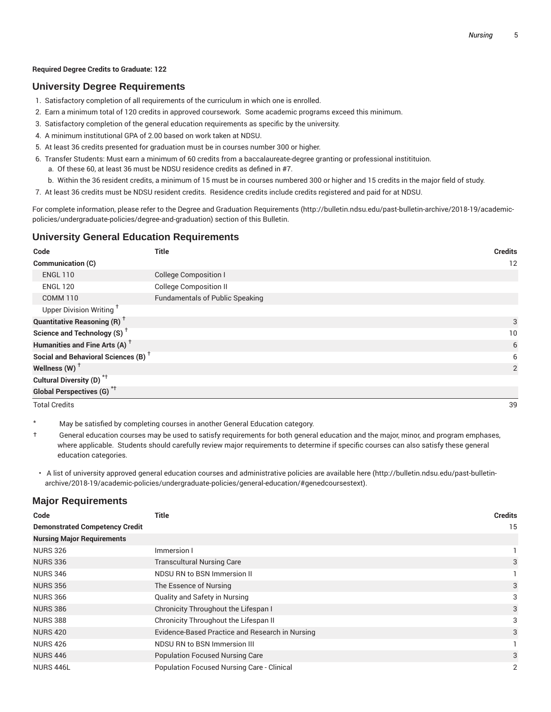#### **Required Degree Credits to Graduate: 122**

#### **University Degree Requirements**

- 1. Satisfactory completion of all requirements of the curriculum in which one is enrolled.
- 2. Earn a minimum total of 120 credits in approved coursework. Some academic programs exceed this minimum.
- 3. Satisfactory completion of the general education requirements as specific by the university.
- 4. A minimum institutional GPA of 2.00 based on work taken at NDSU.
- 5. At least 36 credits presented for graduation must be in courses number 300 or higher.
- 6. Transfer Students: Must earn a minimum of 60 credits from a baccalaureate-degree granting or professional institituion.
	- a. Of these 60, at least 36 must be NDSU residence credits as defined in #7.
	- b. Within the 36 resident credits, a minimum of 15 must be in courses numbered 300 or higher and 15 credits in the major field of study.
- 7. At least 36 credits must be NDSU resident credits. Residence credits include credits registered and paid for at NDSU.

For complete information, please refer to the Degree and Graduation Requirements (http://bulletin.ndsu.edu/past-bulletin-archive/2018-19/academicpolicies/undergraduate-policies/degree-and-graduation) section of this Bulletin.

#### **University General Education Requirements**

| Code                                            | <b>Title</b>                           | <b>Credits</b> |
|-------------------------------------------------|----------------------------------------|----------------|
| Communication (C)                               |                                        | 12             |
| <b>ENGL 110</b>                                 | <b>College Composition I</b>           |                |
| <b>ENGL 120</b>                                 | <b>College Composition II</b>          |                |
| <b>COMM 110</b>                                 | <b>Fundamentals of Public Speaking</b> |                |
| Upper Division Writing <sup>+</sup>             |                                        |                |
| <b>Quantitative Reasoning (R)</b> <sup>†</sup>  |                                        | 3              |
| Science and Technology (S) <sup>+</sup>         |                                        | 10             |
| Humanities and Fine Arts (A) <sup>+</sup>       |                                        | 6              |
| Social and Behavioral Sciences (B) <sup>+</sup> |                                        | 6              |
| Wellness $(W)$ <sup>+</sup>                     |                                        | 2              |
| Cultural Diversity (D) <sup>*†</sup>            |                                        |                |
| <b>Global Perspectives (G)</b> <sup>*†</sup>    |                                        |                |

Total Credits 39

May be satisfied by completing courses in another General Education category.

- † General education courses may be used to satisfy requirements for both general education and the major, minor, and program emphases, where applicable. Students should carefully review major requirements to determine if specific courses can also satisfy these general education categories.
- A list of university approved general education courses and administrative policies are available here (http://bulletin.ndsu.edu/past-bulletinarchive/2018-19/academic-policies/undergraduate-policies/general-education/#genedcoursestext).

#### **Major Requirements**

| Code                                  | <b>Title</b>                                      | <b>Credits</b> |
|---------------------------------------|---------------------------------------------------|----------------|
| <b>Demonstrated Competency Credit</b> |                                                   | 15             |
| <b>Nursing Major Requirements</b>     |                                                   |                |
| <b>NURS 326</b>                       | Immersion I                                       |                |
| <b>NURS 336</b>                       | <b>Transcultural Nursing Care</b>                 | 3              |
| <b>NURS 346</b>                       | NDSU RN to BSN Immersion II                       |                |
| <b>NURS 356</b>                       | The Essence of Nursing                            | 3              |
| <b>NURS 366</b>                       | Quality and Safety in Nursing                     | 3              |
| <b>NURS 386</b>                       | Chronicity Throughout the Lifespan I              | 3              |
| <b>NURS 388</b>                       | Chronicity Throughout the Lifespan II             | 3              |
| <b>NURS 420</b>                       | Evidence-Based Practice and Research in Nursing   | 3              |
| <b>NURS 426</b>                       | NDSU RN to BSN Immersion III                      |                |
| <b>NURS 446</b>                       | <b>Population Focused Nursing Care</b>            | 3              |
| NURS 446L                             | <b>Population Focused Nursing Care - Clinical</b> | 2              |